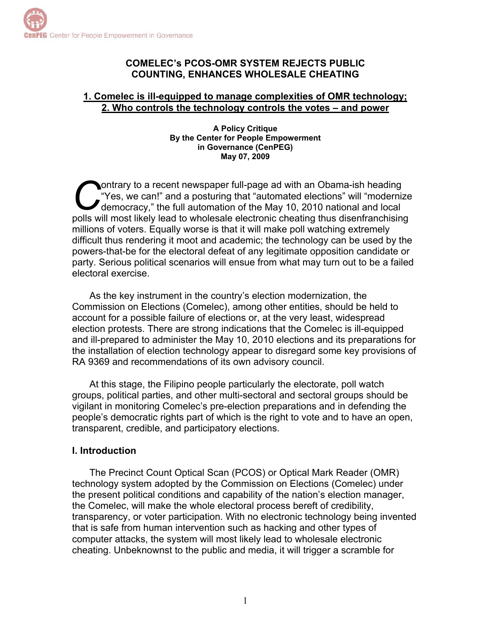## **COMELEC's PCOS-OMR SYSTEM REJECTS PUBLIC COUNTING, ENHANCES WHOLESALE CHEATING**

#### **1. Comelec is ill-equipped to manage complexities of OMR technology; 2. Who controls the technology controls the votes – and power**

**A Policy Critique By the Center for People Empowerment in Governance (CenPEG) May 07, 2009** 

ontrary to a recent newspaper full-page ad with an Obama-ish heading "Yes, we can!" and a posturing that "automated elections" will "modernize democracy," the full automation of the May 10, 2010 national and local Outrary to a recent newspaper full-page ad with an Obama-ish heading<br>
"Yes, we can!" and a posturing that "automated elections" will "modernize<br>
polls will most likely lead to wholesale electronic cheating thus disenfranch millions of voters. Equally worse is that it will make poll watching extremely difficult thus rendering it moot and academic; the technology can be used by the powers-that-be for the electoral defeat of any legitimate opposition candidate or party. Serious political scenarios will ensue from what may turn out to be a failed electoral exercise.

As the key instrument in the country's election modernization, the Commission on Elections (Comelec), among other entities, should be held to account for a possible failure of elections or, at the very least, widespread election protests. There are strong indications that the Comelec is ill-equipped and ill-prepared to administer the May 10, 2010 elections and its preparations for the installation of election technology appear to disregard some key provisions of RA 9369 and recommendations of its own advisory council.

At this stage, the Filipino people particularly the electorate, poll watch groups, political parties, and other multi-sectoral and sectoral groups should be vigilant in monitoring Comelec's pre-election preparations and in defending the people's democratic rights part of which is the right to vote and to have an open, transparent, credible, and participatory elections.

## **I. Introduction**

The Precinct Count Optical Scan (PCOS) or Optical Mark Reader (OMR) technology system adopted by the Commission on Elections (Comelec) under the present political conditions and capability of the nation's election manager, the Comelec, will make the whole electoral process bereft of credibility, transparency, or voter participation. With no electronic technology being invented that is safe from human intervention such as hacking and other types of computer attacks, the system will most likely lead to wholesale electronic cheating. Unbeknownst to the public and media, it will trigger a scramble for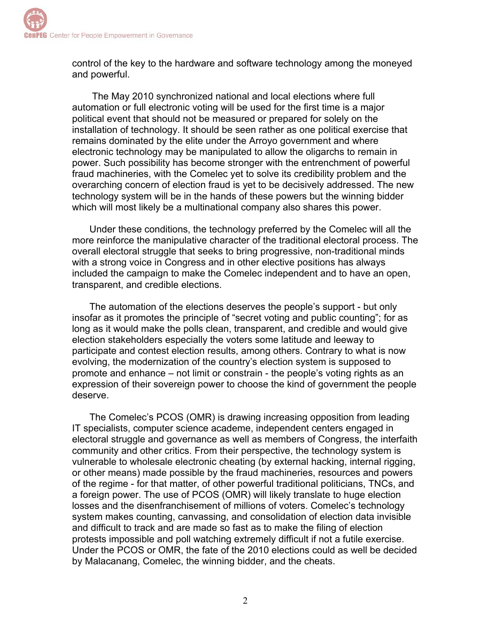control of the key to the hardware and software technology among the moneyed and powerful.

 The May 2010 synchronized national and local elections where full automation or full electronic voting will be used for the first time is a major political event that should not be measured or prepared for solely on the installation of technology. It should be seen rather as one political exercise that remains dominated by the elite under the Arroyo government and where electronic technology may be manipulated to allow the oligarchs to remain in power. Such possibility has become stronger with the entrenchment of powerful fraud machineries, with the Comelec yet to solve its credibility problem and the overarching concern of election fraud is yet to be decisively addressed. The new technology system will be in the hands of these powers but the winning bidder which will most likely be a multinational company also shares this power.

Under these conditions, the technology preferred by the Comelec will all the more reinforce the manipulative character of the traditional electoral process. The overall electoral struggle that seeks to bring progressive, non-traditional minds with a strong voice in Congress and in other elective positions has always included the campaign to make the Comelec independent and to have an open, transparent, and credible elections.

The automation of the elections deserves the people's support - but only insofar as it promotes the principle of "secret voting and public counting"; for as long as it would make the polls clean, transparent, and credible and would give election stakeholders especially the voters some latitude and leeway to participate and contest election results, among others. Contrary to what is now evolving, the modernization of the country's election system is supposed to promote and enhance – not limit or constrain - the people's voting rights as an expression of their sovereign power to choose the kind of government the people deserve.

The Comelec's PCOS (OMR) is drawing increasing opposition from leading IT specialists, computer science academe, independent centers engaged in electoral struggle and governance as well as members of Congress, the interfaith community and other critics. From their perspective, the technology system is vulnerable to wholesale electronic cheating (by external hacking, internal rigging, or other means) made possible by the fraud machineries, resources and powers of the regime - for that matter, of other powerful traditional politicians, TNCs, and a foreign power. The use of PCOS (OMR) will likely translate to huge election losses and the disenfranchisement of millions of voters. Comelec's technology system makes counting, canvassing, and consolidation of election data invisible and difficult to track and are made so fast as to make the filing of election protests impossible and poll watching extremely difficult if not a futile exercise. Under the PCOS or OMR, the fate of the 2010 elections could as well be decided by Malacanang, Comelec, the winning bidder, and the cheats.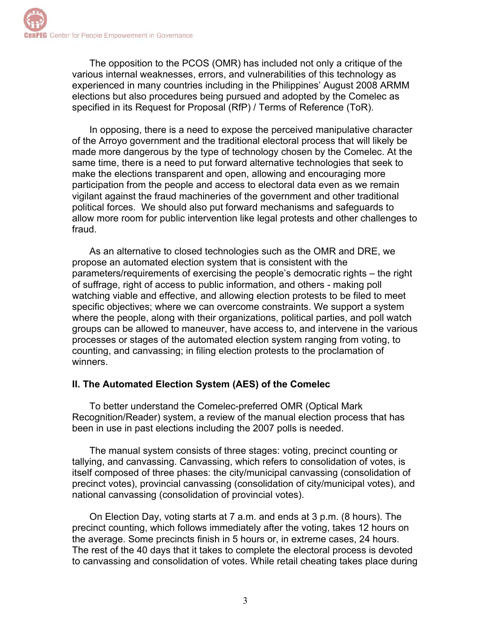The opposition to the PCOS (OMR) has included not only a critique of the various internal weaknesses, errors, and vulnerabilities of this technology as experienced in many countries including in the Philippines' August 2008 ARMM elections but also procedures being pursued and adopted by the Comelec as specified in its Request for Proposal (RfP) / Terms of Reference (ToR).

In opposing, there is a need to expose the perceived manipulative character of the Arroyo government and the traditional electoral process that will likely be made more dangerous by the type of technology chosen by the Comelec. At the same time, there is a need to put forward alternative technologies that seek to make the elections transparent and open, allowing and encouraging more participation from the people and access to electoral data even as we remain vigilant against the fraud machineries of the government and other traditional political forces. We should also put forward mechanisms and safeguards to allow more room for public intervention like legal protests and other challenges to fraud.

As an alternative to closed technologies such as the OMR and DRE, we propose an automated election system that is consistent with the parameters/requirements of exercising the people's democratic rights – the right of suffrage, right of access to public information, and others - making poll watching viable and effective, and allowing election protests to be filed to meet specific objectives; where we can overcome constraints. We support a system where the people, along with their organizations, political parties, and poll watch groups can be allowed to maneuver, have access to, and intervene in the various processes or stages of the automated election system ranging from voting, to counting, and canvassing; in filing election protests to the proclamation of winners.

## **II. The Automated Election System (AES) of the Comelec**

To better understand the Comelec-preferred OMR (Optical Mark Recognition/Reader) system, a review of the manual election process that has been in use in past elections including the 2007 polls is needed.

The manual system consists of three stages: voting, precinct counting or tallying, and canvassing. Canvassing, which refers to consolidation of votes, is itself composed of three phases: the city/municipal canvassing (consolidation of precinct votes), provincial canvassing (consolidation of city/municipal votes), and national canvassing (consolidation of provincial votes).

On Election Day, voting starts at 7 a.m. and ends at 3 p.m. (8 hours). The precinct counting, which follows immediately after the voting, takes 12 hours on the average. Some precincts finish in 5 hours or, in extreme cases, 24 hours. The rest of the 40 days that it takes to complete the electoral process is devoted to canvassing and consolidation of votes. While retail cheating takes place during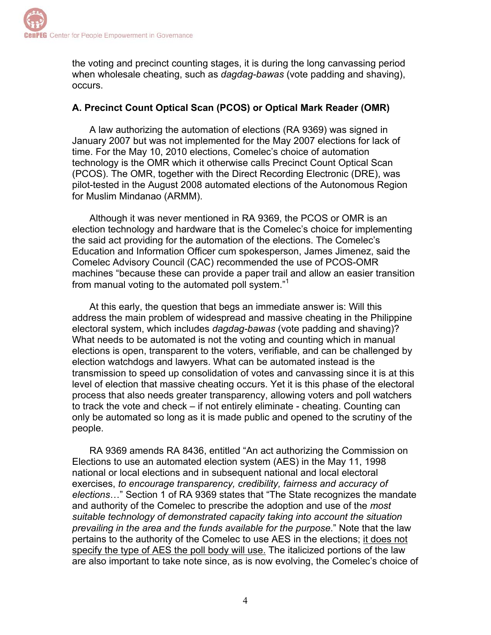the voting and precinct counting stages, it is during the long canvassing period when wholesale cheating, such as *dagdag-bawas* (vote padding and shaving), occurs.

# **A. Precinct Count Optical Scan (PCOS) or Optical Mark Reader (OMR)**

A law authorizing the automation of elections (RA 9369) was signed in January 2007 but was not implemented for the May 2007 elections for lack of time. For the May 10, 2010 elections, Comelec's choice of automation technology is the OMR which it otherwise calls Precinct Count Optical Scan (PCOS). The OMR, together with the Direct Recording Electronic (DRE), was pilot-tested in the August 2008 automated elections of the Autonomous Region for Muslim Mindanao (ARMM).

Although it was never mentioned in RA 9369, the PCOS or OMR is an election technology and hardware that is the Comelec's choice for implementing the said act providing for the automation of the elections. The Comelec's Education and Information Officer cum spokesperson, James Jimenez, said the Comelec Advisory Council (CAC) recommended the use of PCOS-OMR machines "because these can provide a paper trail and allow an easier transition from manual voting to the automated poll system."<sup>1</sup>

At this early, the question that begs an immediate answer is: Will this address the main problem of widespread and massive cheating in the Philippine electoral system, which includes *dagdag-bawas* (vote padding and shaving)? What needs to be automated is not the voting and counting which in manual elections is open, transparent to the voters, verifiable, and can be challenged by election watchdogs and lawyers. What can be automated instead is the transmission to speed up consolidation of votes and canvassing since it is at this level of election that massive cheating occurs. Yet it is this phase of the electoral process that also needs greater transparency, allowing voters and poll watchers to track the vote and check – if not entirely eliminate - cheating. Counting can only be automated so long as it is made public and opened to the scrutiny of the people.

RA 9369 amends RA 8436, entitled "An act authorizing the Commission on Elections to use an automated election system (AES) in the May 11, 1998 national or local elections and in subsequent national and local electoral exercises, *to encourage transparency, credibility, fairness and accuracy of elections*…" Section 1 of RA 9369 states that "The State recognizes the mandate and authority of the Comelec to prescribe the adoption and use of the *most suitable technology of demonstrated capacity taking into account the situation prevailing in the area and the funds available for the purpose*." Note that the law pertains to the authority of the Comelec to use AES in the elections; it does not specify the type of AES the poll body will use. The italicized portions of the law are also important to take note since, as is now evolving, the Comelec's choice of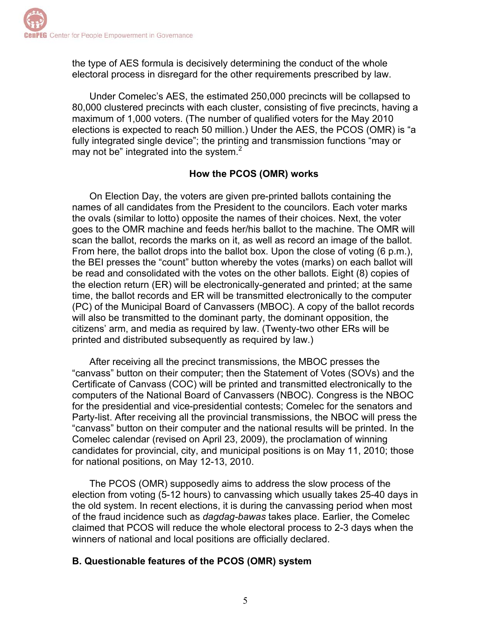the type of AES formula is decisively determining the conduct of the whole electoral process in disregard for the other requirements prescribed by law.

Under Comelec's AES, the estimated 250,000 precincts will be collapsed to 80,000 clustered precincts with each cluster, consisting of five precincts, having a maximum of 1,000 voters. (The number of qualified voters for the May 2010 elections is expected to reach 50 million.) Under the AES, the PCOS (OMR) is "a fully integrated single device"; the printing and transmission functions "may or may not be" integrated into the system. $2$ 

## **How the PCOS (OMR) works**

On Election Day, the voters are given pre-printed ballots containing the names of all candidates from the President to the councilors. Each voter marks the ovals (similar to lotto) opposite the names of their choices. Next, the voter goes to the OMR machine and feeds her/his ballot to the machine. The OMR will scan the ballot, records the marks on it, as well as record an image of the ballot. From here, the ballot drops into the ballot box. Upon the close of voting (6 p.m.), the BEI presses the "count" button whereby the votes (marks) on each ballot will be read and consolidated with the votes on the other ballots. Eight (8) copies of the election return (ER) will be electronically-generated and printed; at the same time, the ballot records and ER will be transmitted electronically to the computer (PC) of the Municipal Board of Canvassers (MBOC). A copy of the ballot records will also be transmitted to the dominant party, the dominant opposition, the citizens' arm, and media as required by law. (Twenty-two other ERs will be printed and distributed subsequently as required by law.)

After receiving all the precinct transmissions, the MBOC presses the "canvass" button on their computer; then the Statement of Votes (SOVs) and the Certificate of Canvass (COC) will be printed and transmitted electronically to the computers of the National Board of Canvassers (NBOC). Congress is the NBOC for the presidential and vice-presidential contests; Comelec for the senators and Party-list. After receiving all the provincial transmissions, the NBOC will press the "canvass" button on their computer and the national results will be printed. In the Comelec calendar (revised on April 23, 2009), the proclamation of winning candidates for provincial, city, and municipal positions is on May 11, 2010; those for national positions, on May 12-13, 2010.

The PCOS (OMR) supposedly aims to address the slow process of the election from voting (5-12 hours) to canvassing which usually takes 25-40 days in the old system. In recent elections, it is during the canvassing period when most of the fraud incidence such as *dagdag-bawas* takes place. Earlier, the Comelec claimed that PCOS will reduce the whole electoral process to 2-3 days when the winners of national and local positions are officially declared.

# **B. Questionable features of the PCOS (OMR) system**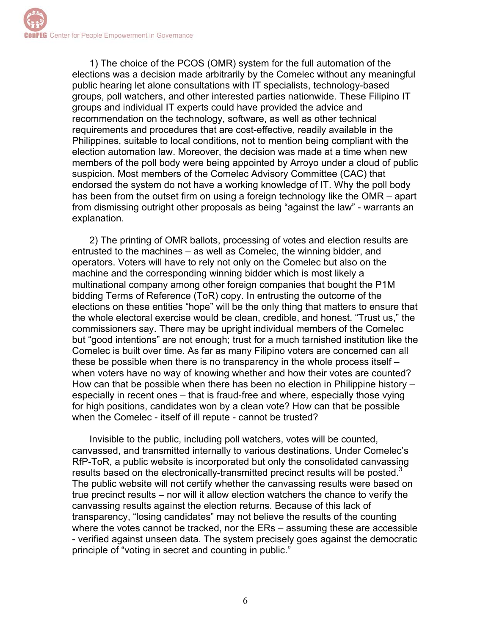1) The choice of the PCOS (OMR) system for the full automation of the elections was a decision made arbitrarily by the Comelec without any meaningful public hearing let alone consultations with IT specialists, technology-based groups, poll watchers, and other interested parties nationwide. These Filipino IT groups and individual IT experts could have provided the advice and recommendation on the technology, software, as well as other technical requirements and procedures that are cost-effective, readily available in the Philippines, suitable to local conditions, not to mention being compliant with the election automation law. Moreover, the decision was made at a time when new members of the poll body were being appointed by Arroyo under a cloud of public suspicion. Most members of the Comelec Advisory Committee (CAC) that endorsed the system do not have a working knowledge of IT. Why the poll body has been from the outset firm on using a foreign technology like the OMR – apart from dismissing outright other proposals as being "against the law" - warrants an explanation.

2) The printing of OMR ballots, processing of votes and election results are entrusted to the machines – as well as Comelec, the winning bidder, and operators. Voters will have to rely not only on the Comelec but also on the machine and the corresponding winning bidder which is most likely a multinational company among other foreign companies that bought the P1M bidding Terms of Reference (ToR) copy. In entrusting the outcome of the elections on these entities "hope" will be the only thing that matters to ensure that the whole electoral exercise would be clean, credible, and honest. "Trust us," the commissioners say. There may be upright individual members of the Comelec but "good intentions" are not enough; trust for a much tarnished institution like the Comelec is built over time. As far as many Filipino voters are concerned can all these be possible when there is no transparency in the whole process itself – when voters have no way of knowing whether and how their votes are counted? How can that be possible when there has been no election in Philippine history – especially in recent ones – that is fraud-free and where, especially those vying for high positions, candidates won by a clean vote? How can that be possible when the Comelec - itself of ill repute - cannot be trusted?

Invisible to the public, including poll watchers, votes will be counted, canvassed, and transmitted internally to various destinations. Under Comelec's RfP-ToR, a public website is incorporated but only the consolidated canvassing results based on the electronically-transmitted precinct results will be posted. $3$ The public website will not certify whether the canvassing results were based on true precinct results – nor will it allow election watchers the chance to verify the canvassing results against the election returns. Because of this lack of transparency, "losing candidates" may not believe the results of the counting where the votes cannot be tracked, nor the ERs – assuming these are accessible - verified against unseen data. The system precisely goes against the democratic principle of "voting in secret and counting in public."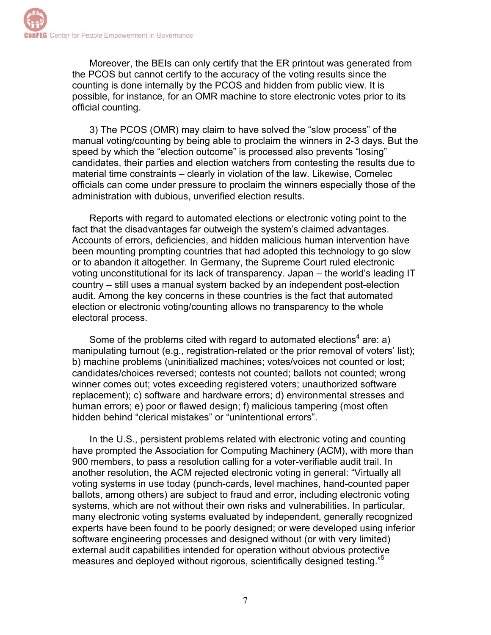Moreover, the BEIs can only certify that the ER printout was generated from the PCOS but cannot certify to the accuracy of the voting results since the counting is done internally by the PCOS and hidden from public view. It is possible, for instance, for an OMR machine to store electronic votes prior to its official counting.

3) The PCOS (OMR) may claim to have solved the "slow process" of the manual voting/counting by being able to proclaim the winners in 2-3 days. But the speed by which the "election outcome" is processed also prevents "losing" candidates, their parties and election watchers from contesting the results due to material time constraints – clearly in violation of the law. Likewise, Comelec officials can come under pressure to proclaim the winners especially those of the administration with dubious, unverified election results.

Reports with regard to automated elections or electronic voting point to the fact that the disadvantages far outweigh the system's claimed advantages. Accounts of errors, deficiencies, and hidden malicious human intervention have been mounting prompting countries that had adopted this technology to go slow or to abandon it altogether. In Germany, the Supreme Court ruled electronic voting unconstitutional for its lack of transparency. Japan – the world's leading IT country – still uses a manual system backed by an independent post-election audit. Among the key concerns in these countries is the fact that automated election or electronic voting/counting allows no transparency to the whole electoral process.

Some of the problems cited with regard to automated elections<sup>4</sup> are: a) manipulating turnout (e.g., registration-related or the prior removal of voters' list); b) machine problems (uninitialized machines; votes/voices not counted or lost; candidates/choices reversed; contests not counted; ballots not counted; wrong winner comes out; votes exceeding registered voters; unauthorized software replacement); c) software and hardware errors; d) environmental stresses and human errors; e) poor or flawed design; f) malicious tampering (most often hidden behind "clerical mistakes" or "unintentional errors".

In the U.S., persistent problems related with electronic voting and counting have prompted the Association for Computing Machinery (ACM), with more than 900 members, to pass a resolution calling for a voter-verifiable audit trail. In another resolution, the ACM rejected electronic voting in general: "Virtually all voting systems in use today (punch-cards, level machines, hand-counted paper ballots, among others) are subject to fraud and error, including electronic voting systems, which are not without their own risks and vulnerabilities. In particular, many electronic voting systems evaluated by independent, generally recognized experts have been found to be poorly designed; or were developed using inferior software engineering processes and designed without (or with very limited) external audit capabilities intended for operation without obvious protective measures and deployed without rigorous, scientifically designed testing."<sup>5</sup>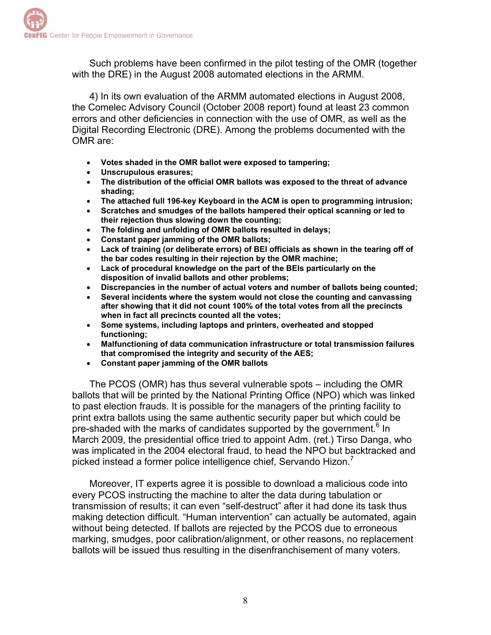Such problems have been confirmed in the pilot testing of the OMR (together with the DRE) in the August 2008 automated elections in the ARMM.

4) In its own evaluation of the ARMM automated elections in August 2008, the Comelec Advisory Council (October 2008 report) found at least 23 common errors and other deficiencies in connection with the use of OMR, as well as the Digital Recording Electronic (DRE). Among the problems documented with the OMR are:

- **Votes shaded in the OMR ballot were exposed to tampering;**
- **Unscrupulous erasures;**
- **The distribution of the official OMR ballots was exposed to the threat of advance shading;**
- **The attached full 196-key Keyboard in the ACM is open to programming intrusion;**
- **Scratches and smudges of the ballots hampered their optical scanning or led to their rejection thus slowing down the counting;**
- **The folding and unfolding of OMR ballots resulted in delays;**
- **Constant paper jamming of the OMR ballots;**
- **Lack of training (or deliberate errors) of BEI officials as shown in the tearing off of the bar codes resulting in their rejection by the OMR machine;**
- **Lack of procedural knowledge on the part of the BEIs particularly on the disposition of invalid ballots and other problems;**
- **Discrepancies in the number of actual voters and number of ballots being counted;**
- **Several incidents where the system would not close the counting and canvassing after showing that it did not count 100% of the total votes from all the precincts when in fact all precincts counted all the votes;**
- **Some systems, including laptops and printers, overheated and stopped functioning;**
- **Malfunctioning of data communication infrastructure or total transmission failures that compromised the integrity and security of the AES;**
- **Constant paper jamming of the OMR ballots**

The PCOS (OMR) has thus several vulnerable spots – including the OMR ballots that will be printed by the National Printing Office (NPO) which was linked to past election frauds. It is possible for the managers of the printing facility to print extra ballots using the same authentic security paper but which could be pre-shaded with the marks of candidates supported by the government.<sup>6</sup> In March 2009, the presidential office tried to appoint Adm. (ret.) Tirso Danga, who was implicated in the 2004 electoral fraud, to head the NPO but backtracked and picked instead a former police intelligence chief, Servando Hizon. $^7$ 

Moreover, IT experts agree it is possible to download a malicious code into every PCOS instructing the machine to alter the data during tabulation or transmission of results; it can even "self-destruct" after it had done its task thus making detection difficult. "Human intervention" can actually be automated, again without being detected. If ballots are rejected by the PCOS due to erroneous marking, smudges, poor calibration/alignment, or other reasons, no replacement ballots will be issued thus resulting in the disenfranchisement of many voters.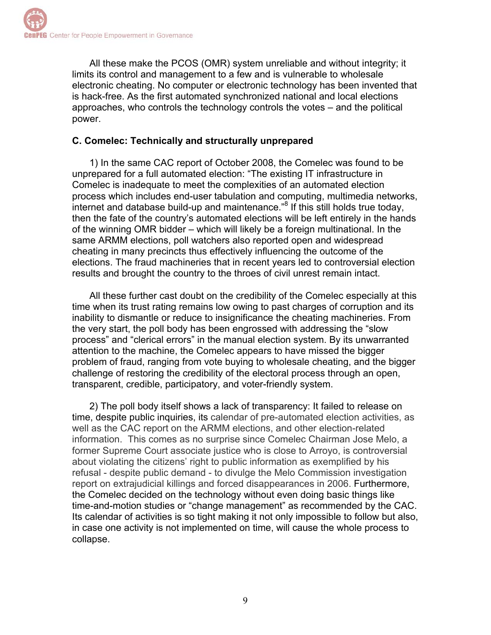All these make the PCOS (OMR) system unreliable and without integrity; it limits its control and management to a few and is vulnerable to wholesale electronic cheating. No computer or electronic technology has been invented that is hack-free. As the first automated synchronized national and local elections approaches, who controls the technology controls the votes – and the political power.

## **C. Comelec: Technically and structurally unprepared**

1) In the same CAC report of October 2008, the Comelec was found to be unprepared for a full automated election: "The existing IT infrastructure in Comelec is inadequate to meet the complexities of an automated election process which includes end-user tabulation and computing, multimedia networks, internet and database build-up and maintenance."<sup>8</sup> If this still holds true today, then the fate of the country's automated elections will be left entirely in the hands of the winning OMR bidder – which will likely be a foreign multinational. In the same ARMM elections, poll watchers also reported open and widespread cheating in many precincts thus effectively influencing the outcome of the elections. The fraud machineries that in recent years led to controversial election results and brought the country to the throes of civil unrest remain intact.

All these further cast doubt on the credibility of the Comelec especially at this time when its trust rating remains low owing to past charges of corruption and its inability to dismantle or reduce to insignificance the cheating machineries. From the very start, the poll body has been engrossed with addressing the "slow process" and "clerical errors" in the manual election system. By its unwarranted attention to the machine, the Comelec appears to have missed the bigger problem of fraud, ranging from vote buying to wholesale cheating, and the bigger challenge of restoring the credibility of the electoral process through an open, transparent, credible, participatory, and voter-friendly system.

2) The poll body itself shows a lack of transparency: It failed to release on time, despite public inquiries, its calendar of pre-automated election activities, as well as the CAC report on the ARMM elections, and other election-related information. This comes as no surprise since Comelec Chairman Jose Melo, a former Supreme Court associate justice who is close to Arroyo, is controversial about violating the citizens' right to public information as exemplified by his refusal - despite public demand - to divulge the Melo Commission investigation report on extrajudicial killings and forced disappearances in 2006..Furthermore, the Comelec decided on the technology without even doing basic things like time-and-motion studies or "change management" as recommended by the CAC. Its calendar of activities is so tight making it not only impossible to follow but also, in case one activity is not implemented on time, will cause the whole process to collapse.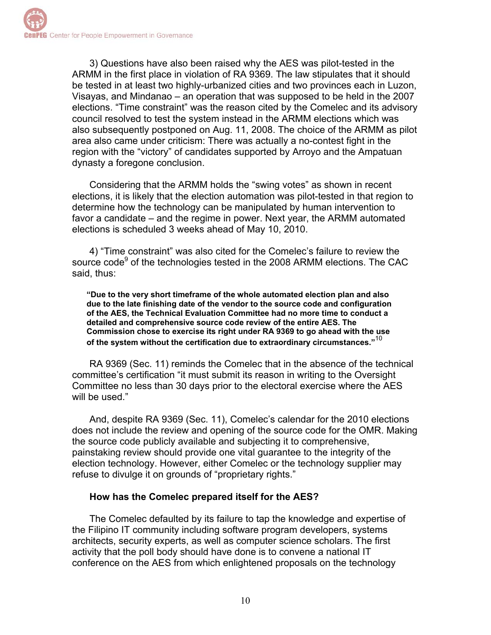3) Questions have also been raised why the AES was pilot-tested in the ARMM in the first place in violation of RA 9369. The law stipulates that it should be tested in at least two highly-urbanized cities and two provinces each in Luzon, Visayas, and Mindanao – an operation that was supposed to be held in the 2007 elections. "Time constraint" was the reason cited by the Comelec and its advisory council resolved to test the system instead in the ARMM elections which was also subsequently postponed on Aug. 11, 2008. The choice of the ARMM as pilot area also came under criticism: There was actually a no-contest fight in the region with the "victory" of candidates supported by Arroyo and the Ampatuan dynasty a foregone conclusion.

Considering that the ARMM holds the "swing votes" as shown in recent elections, it is likely that the election automation was pilot-tested in that region to determine how the technology can be manipulated by human intervention to favor a candidate – and the regime in power. Next year, the ARMM automated elections is scheduled 3 weeks ahead of May 10, 2010.

4) "Time constraint" was also cited for the Comelec's failure to review the source code<sup>9</sup> of the technologies tested in the 2008 ARMM elections. The CAC said, thus:

**"Due to the very short timeframe of the whole automated election plan and also due to the late finishing date of the vendor to the source code and configuration of the AES, the Technical Evaluation Committee had no more time to conduct a detailed and comprehensive source code review of the entire AES. The Commission chose to exercise its right under RA 9369 to go ahead with the use of the system without the certification due to extraordinary circumstances."**<sup>10</sup>

RA 9369 (Sec. 11) reminds the Comelec that in the absence of the technical committee's certification "it must submit its reason in writing to the Oversight Committee no less than 30 days prior to the electoral exercise where the AES will be used."

And, despite RA 9369 (Sec. 11), Comelec's calendar for the 2010 elections does not include the review and opening of the source code for the OMR. Making the source code publicly available and subjecting it to comprehensive, painstaking review should provide one vital guarantee to the integrity of the election technology. However, either Comelec or the technology supplier may refuse to divulge it on grounds of "proprietary rights."

#### **How has the Comelec prepared itself for the AES?**

The Comelec defaulted by its failure to tap the knowledge and expertise of the Filipino IT community including software program developers, systems architects, security experts, as well as computer science scholars. The first activity that the poll body should have done is to convene a national IT conference on the AES from which enlightened proposals on the technology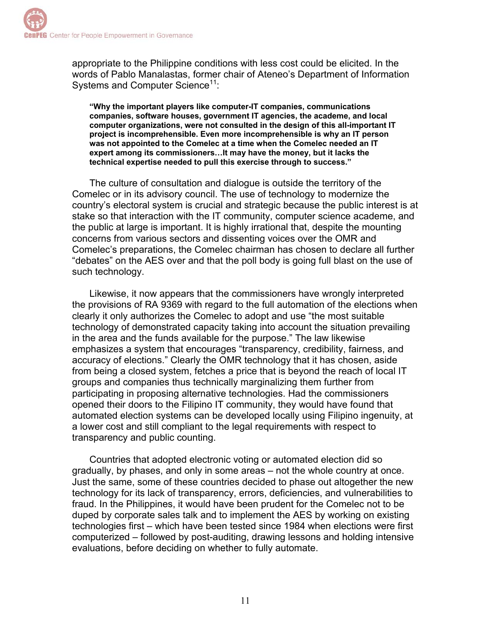appropriate to the Philippine conditions with less cost could be elicited. In the words of Pablo Manalastas, former chair of Ateneo's Department of Information Systems and Computer Science<sup>11</sup>:

**"Why the important players like computer-IT companies, communications companies, software houses, government IT agencies, the academe, and local computer organizations, were not consulted in the design of this all-important IT project is incomprehensible. Even more incomprehensible is why an IT person was not appointed to the Comelec at a time when the Comelec needed an IT expert among its commissioners…It may have the money, but it lacks the technical expertise needed to pull this exercise through to success."** 

The culture of consultation and dialogue is outside the territory of the Comelec or in its advisory council. The use of technology to modernize the country's electoral system is crucial and strategic because the public interest is at stake so that interaction with the IT community, computer science academe, and the public at large is important. It is highly irrational that, despite the mounting concerns from various sectors and dissenting voices over the OMR and Comelec's preparations, the Comelec chairman has chosen to declare all further "debates" on the AES over and that the poll body is going full blast on the use of such technology.

Likewise, it now appears that the commissioners have wrongly interpreted the provisions of RA 9369 with regard to the full automation of the elections when clearly it only authorizes the Comelec to adopt and use "the most suitable technology of demonstrated capacity taking into account the situation prevailing in the area and the funds available for the purpose." The law likewise emphasizes a system that encourages "transparency, credibility, fairness, and accuracy of elections." Clearly the OMR technology that it has chosen, aside from being a closed system, fetches a price that is beyond the reach of local IT groups and companies thus technically marginalizing them further from participating in proposing alternative technologies. Had the commissioners opened their doors to the Filipino IT community, they would have found that automated election systems can be developed locally using Filipino ingenuity, at a lower cost and still compliant to the legal requirements with respect to transparency and public counting.

Countries that adopted electronic voting or automated election did so gradually, by phases, and only in some areas – not the whole country at once. Just the same, some of these countries decided to phase out altogether the new technology for its lack of transparency, errors, deficiencies, and vulnerabilities to fraud. In the Philippines, it would have been prudent for the Comelec not to be duped by corporate sales talk and to implement the AES by working on existing technologies first – which have been tested since 1984 when elections were first computerized – followed by post-auditing, drawing lessons and holding intensive evaluations, before deciding on whether to fully automate.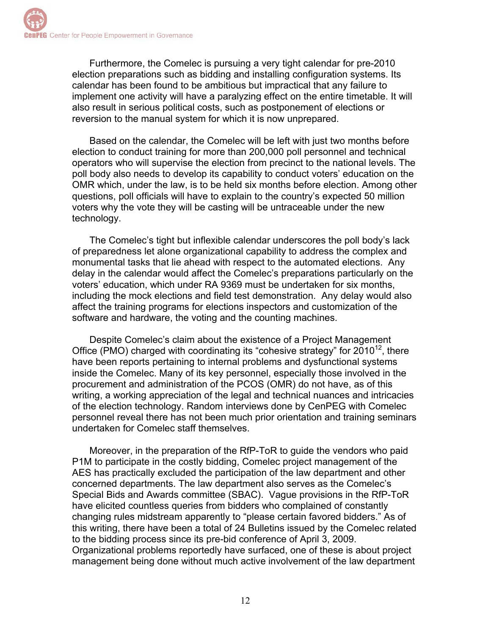Furthermore, the Comelec is pursuing a very tight calendar for pre-2010 election preparations such as bidding and installing configuration systems. Its calendar has been found to be ambitious but impractical that any failure to implement one activity will have a paralyzing effect on the entire timetable. It will also result in serious political costs, such as postponement of elections or reversion to the manual system for which it is now unprepared.

Based on the calendar, the Comelec will be left with just two months before election to conduct training for more than 200,000 poll personnel and technical operators who will supervise the election from precinct to the national levels. The poll body also needs to develop its capability to conduct voters' education on the OMR which, under the law, is to be held six months before election. Among other questions, poll officials will have to explain to the country's expected 50 million voters why the vote they will be casting will be untraceable under the new technology.

The Comelec's tight but inflexible calendar underscores the poll body's lack of preparedness let alone organizational capability to address the complex and monumental tasks that lie ahead with respect to the automated elections. Any delay in the calendar would affect the Comelec's preparations particularly on the voters' education, which under RA 9369 must be undertaken for six months, including the mock elections and field test demonstration. Any delay would also affect the training programs for elections inspectors and customization of the software and hardware, the voting and the counting machines.

Despite Comelec's claim about the existence of a Project Management Office (PMO) charged with coordinating its "cohesive strategy" for  $2010^{12}$ , there have been reports pertaining to internal problems and dysfunctional systems inside the Comelec. Many of its key personnel, especially those involved in the procurement and administration of the PCOS (OMR) do not have, as of this writing, a working appreciation of the legal and technical nuances and intricacies of the election technology. Random interviews done by CenPEG with Comelec personnel reveal there has not been much prior orientation and training seminars undertaken for Comelec staff themselves.

Moreover, in the preparation of the RfP-ToR to guide the vendors who paid P1M to participate in the costly bidding, Comelec project management of the AES has practically excluded the participation of the law department and other concerned departments. The law department also serves as the Comelec's Special Bids and Awards committee (SBAC). Vague provisions in the RfP-ToR have elicited countless queries from bidders who complained of constantly changing rules midstream apparently to "please certain favored bidders." As of this writing, there have been a total of 24 Bulletins issued by the Comelec related to the bidding process since its pre-bid conference of April 3, 2009. Organizational problems reportedly have surfaced, one of these is about project management being done without much active involvement of the law department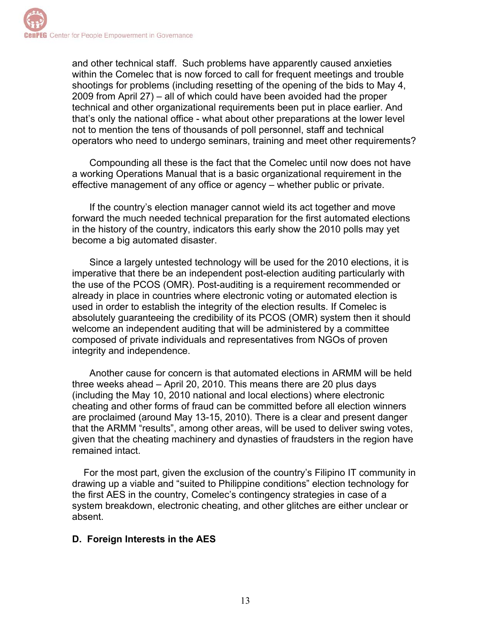and other technical staff. Such problems have apparently caused anxieties within the Comelec that is now forced to call for frequent meetings and trouble shootings for problems (including resetting of the opening of the bids to May 4, 2009 from April 27) – all of which could have been avoided had the proper technical and other organizational requirements been put in place earlier. And that's only the national office - what about other preparations at the lower level not to mention the tens of thousands of poll personnel, staff and technical operators who need to undergo seminars, training and meet other requirements?

Compounding all these is the fact that the Comelec until now does not have a working Operations Manual that is a basic organizational requirement in the effective management of any office or agency – whether public or private.

If the country's election manager cannot wield its act together and move forward the much needed technical preparation for the first automated elections in the history of the country, indicators this early show the 2010 polls may yet become a big automated disaster.

Since a largely untested technology will be used for the 2010 elections, it is imperative that there be an independent post-election auditing particularly with the use of the PCOS (OMR). Post-auditing is a requirement recommended or already in place in countries where electronic voting or automated election is used in order to establish the integrity of the election results. If Comelec is absolutely guaranteeing the credibility of its PCOS (OMR) system then it should welcome an independent auditing that will be administered by a committee composed of private individuals and representatives from NGOs of proven integrity and independence.

Another cause for concern is that automated elections in ARMM will be held three weeks ahead – April 20, 2010. This means there are 20 plus days (including the May 10, 2010 national and local elections) where electronic cheating and other forms of fraud can be committed before all election winners are proclaimed (around May 13-15, 2010). There is a clear and present danger that the ARMM "results", among other areas, will be used to deliver swing votes, given that the cheating machinery and dynasties of fraudsters in the region have remained intact.

For the most part, given the exclusion of the country's Filipino IT community in drawing up a viable and "suited to Philippine conditions" election technology for the first AES in the country, Comelec's contingency strategies in case of a system breakdown, electronic cheating, and other glitches are either unclear or absent.

## **D. Foreign Interests in the AES**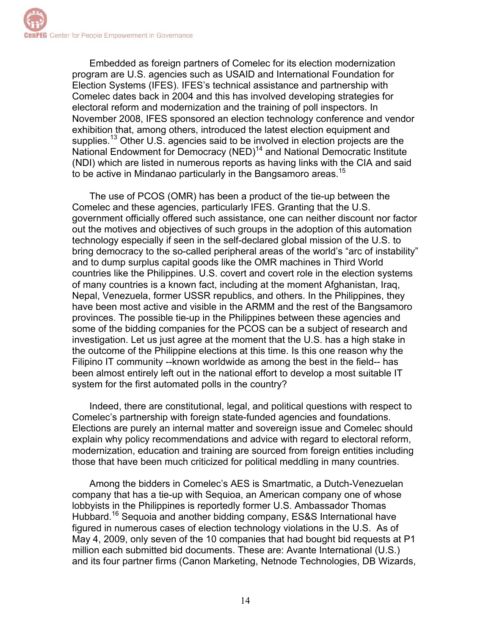Embedded as foreign partners of Comelec for its election modernization program are U.S. agencies such as USAID and International Foundation for Election Systems (IFES). IFES's technical assistance and partnership with Comelec dates back in 2004 and this has involved developing strategies for electoral reform and modernization and the training of poll inspectors. In November 2008, IFES sponsored an election technology conference and vendor exhibition that, among others, introduced the latest election equipment and supplies.<sup>13</sup> Other U.S. agencies said to be involved in election projects are the National Endowment for Democracy (NED)14 and National Democratic Institute (NDI) which are listed in numerous reports as having links with the CIA and said to be active in Mindanao particularly in the Bangsamoro areas.15

The use of PCOS (OMR) has been a product of the tie-up between the Comelec and these agencies, particularly IFES. Granting that the U.S. government officially offered such assistance, one can neither discount nor factor out the motives and objectives of such groups in the adoption of this automation technology especially if seen in the self-declared global mission of the U.S. to bring democracy to the so-called peripheral areas of the world's "arc of instability" and to dump surplus capital goods like the OMR machines in Third World countries like the Philippines. U.S. covert and covert role in the election systems of many countries is a known fact, including at the moment Afghanistan, Iraq, Nepal, Venezuela, former USSR republics, and others. In the Philippines, they have been most active and visible in the ARMM and the rest of the Bangsamoro provinces. The possible tie-up in the Philippines between these agencies and some of the bidding companies for the PCOS can be a subject of research and investigation. Let us just agree at the moment that the U.S. has a high stake in the outcome of the Philippine elections at this time. Is this one reason why the Filipino IT community --known worldwide as among the best in the field-- has been almost entirely left out in the national effort to develop a most suitable IT system for the first automated polls in the country?

Indeed, there are constitutional, legal, and political questions with respect to Comelec's partnership with foreign state-funded agencies and foundations. Elections are purely an internal matter and sovereign issue and Comelec should explain why policy recommendations and advice with regard to electoral reform, modernization, education and training are sourced from foreign entities including those that have been much criticized for political meddling in many countries.

Among the bidders in Comelec's AES is Smartmatic, a Dutch-Venezuelan company that has a tie-up with Sequioa, an American company one of whose lobbyists in the Philippines is reportedly former U.S. Ambassador Thomas Hubbard.16 Sequoia and another bidding company, ES&S International have figured in numerous cases of election technology violations in the U.S. As of May 4, 2009, only seven of the 10 companies that had bought bid requests at P1 million each submitted bid documents. These are: Avante International (U.S.) and its four partner firms (Canon Marketing, Netnode Technologies, DB Wizards,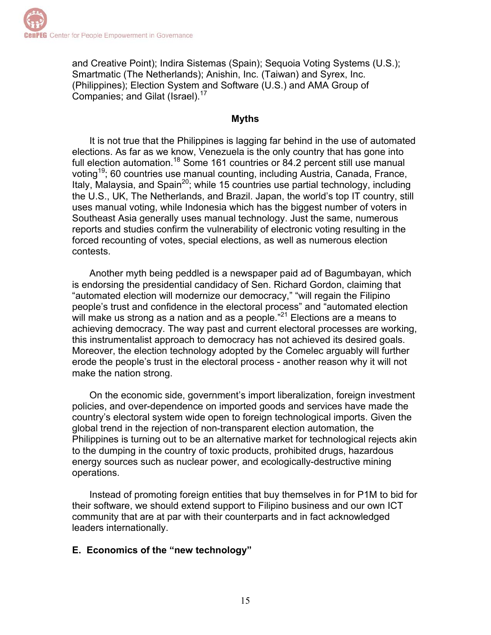and Creative Point); Indira Sistemas (Spain); Sequoia Voting Systems (U.S.); Smartmatic (The Netherlands); Anishin, Inc. (Taiwan) and Syrex, Inc. (Philippines); Election System and Software (U.S.) and AMA Group of Companies; and Gilat (Israel).17

#### **Myths**

It is not true that the Philippines is lagging far behind in the use of automated elections. As far as we know, Venezuela is the only country that has gone into full election automation.<sup>18</sup> Some 161 countries or  $84.2$  percent still use manual voting<sup>19</sup>; 60 countries use manual counting, including Austria, Canada, France, Italy, Malaysia, and Spain<sup>20</sup>; while 15 countries use partial technology, including the U.S., UK, The Netherlands, and Brazil. Japan, the world's top IT country, still uses manual voting, while Indonesia which has the biggest number of voters in Southeast Asia generally uses manual technology. Just the same, numerous reports and studies confirm the vulnerability of electronic voting resulting in the forced recounting of votes, special elections, as well as numerous election contests.

Another myth being peddled is a newspaper paid ad of Bagumbayan, which is endorsing the presidential candidacy of Sen. Richard Gordon, claiming that "automated election will modernize our democracy," "will regain the Filipino people's trust and confidence in the electoral process" and "automated election will make us strong as a nation and as a people."<sup>21</sup> Elections are a means to achieving democracy. The way past and current electoral processes are working, this instrumentalist approach to democracy has not achieved its desired goals. Moreover, the election technology adopted by the Comelec arguably will further erode the people's trust in the electoral process - another reason why it will not make the nation strong.

On the economic side, government's import liberalization, foreign investment policies, and over-dependence on imported goods and services have made the country's electoral system wide open to foreign technological imports. Given the global trend in the rejection of non-transparent election automation, the Philippines is turning out to be an alternative market for technological rejects akin to the dumping in the country of toxic products, prohibited drugs, hazardous energy sources such as nuclear power, and ecologically-destructive mining operations.

Instead of promoting foreign entities that buy themselves in for P1M to bid for their software, we should extend support to Filipino business and our own ICT community that are at par with their counterparts and in fact acknowledged leaders internationally.

#### **E. Economics of the "new technology"**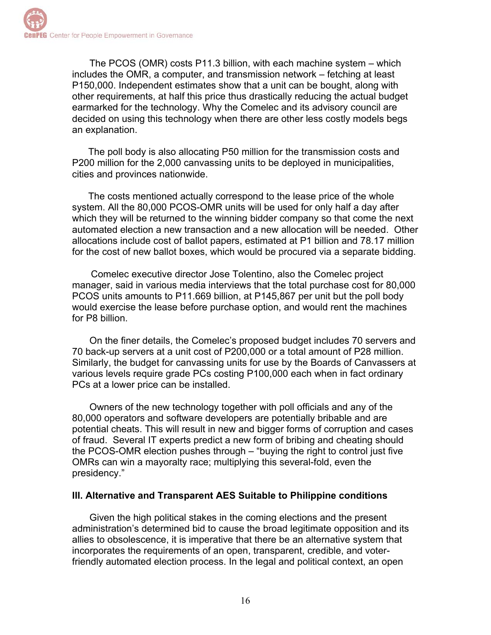The PCOS (OMR) costs P11.3 billion, with each machine system – which includes the OMR, a computer, and transmission network – fetching at least P150,000. Independent estimates show that a unit can be bought, along with other requirements, at half this price thus drastically reducing the actual budget earmarked for the technology. Why the Comelec and its advisory council are decided on using this technology when there are other less costly models begs an explanation.

 The poll body is also allocating P50 million for the transmission costs and P200 million for the 2,000 canvassing units to be deployed in municipalities, cities and provinces nationwide.

 The costs mentioned actually correspond to the lease price of the whole system. All the 80,000 PCOS-OMR units will be used for only half a day after which they will be returned to the winning bidder company so that come the next automated election a new transaction and a new allocation will be needed. Other allocations include cost of ballot papers, estimated at P1 billion and 78.17 million for the cost of new ballot boxes, which would be procured via a separate bidding.

 Comelec executive director Jose Tolentino, also the Comelec project manager, said in various media interviews that the total purchase cost for 80,000 PCOS units amounts to P11.669 billion, at P145,867 per unit but the poll body would exercise the lease before purchase option, and would rent the machines for P8 billion.

On the finer details, the Comelec's proposed budget includes 70 servers and 70 back-up servers at a unit cost of P200,000 or a total amount of P28 million. Similarly, the budget for canvassing units for use by the Boards of Canvassers at various levels require grade PCs costing P100,000 each when in fact ordinary PCs at a lower price can be installed.

Owners of the new technology together with poll officials and any of the 80,000 operators and software developers are potentially bribable and are potential cheats. This will result in new and bigger forms of corruption and cases of fraud. Several IT experts predict a new form of bribing and cheating should the PCOS-OMR election pushes through – "buying the right to control just five OMRs can win a mayoralty race; multiplying this several-fold, even the presidency."

#### **III. Alternative and Transparent AES Suitable to Philippine conditions**

Given the high political stakes in the coming elections and the present administration's determined bid to cause the broad legitimate opposition and its allies to obsolescence, it is imperative that there be an alternative system that incorporates the requirements of an open, transparent, credible, and voterfriendly automated election process. In the legal and political context, an open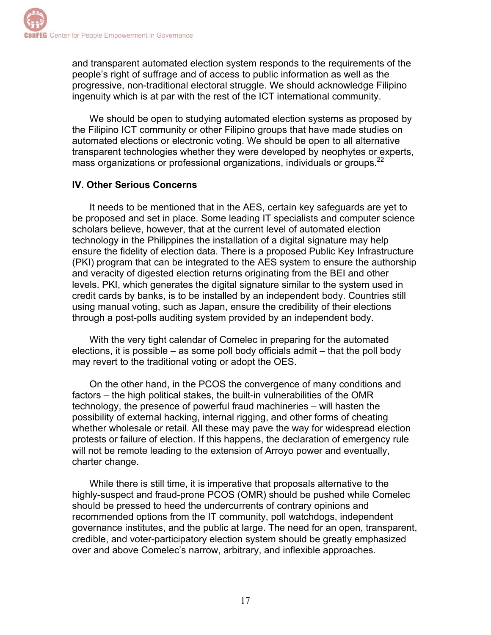and transparent automated election system responds to the requirements of the people's right of suffrage and of access to public information as well as the progressive, non-traditional electoral struggle. We should acknowledge Filipino ingenuity which is at par with the rest of the ICT international community.

We should be open to studying automated election systems as proposed by the Filipino ICT community or other Filipino groups that have made studies on automated elections or electronic voting. We should be open to all alternative transparent technologies whether they were developed by neophytes or experts, mass organizations or professional organizations, individuals or groups.22

## **IV. Other Serious Concerns**

It needs to be mentioned that in the AES, certain key safeguards are yet to be proposed and set in place. Some leading IT specialists and computer science scholars believe, however, that at the current level of automated election technology in the Philippines the installation of a digital signature may help ensure the fidelity of election data. There is a proposed Public Key Infrastructure (PKI) program that can be integrated to the AES system to ensure the authorship and veracity of digested election returns originating from the BEI and other levels. PKI, which generates the digital signature similar to the system used in credit cards by banks, is to be installed by an independent body. Countries still using manual voting, such as Japan, ensure the credibility of their elections through a post-polls auditing system provided by an independent body.

With the very tight calendar of Comelec in preparing for the automated elections, it is possible – as some poll body officials admit – that the poll body may revert to the traditional voting or adopt the OES.

On the other hand, in the PCOS the convergence of many conditions and factors – the high political stakes, the built-in vulnerabilities of the OMR technology, the presence of powerful fraud machineries – will hasten the possibility of external hacking, internal rigging, and other forms of cheating whether wholesale or retail. All these may pave the way for widespread election protests or failure of election. If this happens, the declaration of emergency rule will not be remote leading to the extension of Arroyo power and eventually, charter change.

While there is still time, it is imperative that proposals alternative to the highly-suspect and fraud-prone PCOS (OMR) should be pushed while Comelec should be pressed to heed the undercurrents of contrary opinions and recommended options from the IT community, poll watchdogs, independent governance institutes, and the public at large. The need for an open, transparent, credible, and voter-participatory election system should be greatly emphasized over and above Comelec's narrow, arbitrary, and inflexible approaches.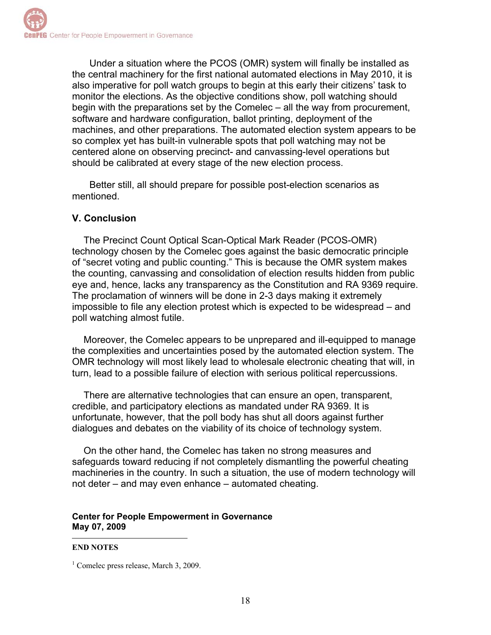Under a situation where the PCOS (OMR) system will finally be installed as the central machinery for the first national automated elections in May 2010, it is also imperative for poll watch groups to begin at this early their citizens' task to monitor the elections. As the objective conditions show, poll watching should begin with the preparations set by the Comelec – all the way from procurement, software and hardware configuration, ballot printing, deployment of the machines, and other preparations. The automated election system appears to be so complex yet has built-in vulnerable spots that poll watching may not be centered alone on observing precinct- and canvassing-level operations but should be calibrated at every stage of the new election process.

Better still, all should prepare for possible post-election scenarios as mentioned.

#### **V. Conclusion**

The Precinct Count Optical Scan-Optical Mark Reader (PCOS-OMR) technology chosen by the Comelec goes against the basic democratic principle of "secret voting and public counting." This is because the OMR system makes the counting, canvassing and consolidation of election results hidden from public eye and, hence, lacks any transparency as the Constitution and RA 9369 require. The proclamation of winners will be done in 2-3 days making it extremely impossible to file any election protest which is expected to be widespread – and poll watching almost futile.

Moreover, the Comelec appears to be unprepared and ill-equipped to manage the complexities and uncertainties posed by the automated election system. The OMR technology will most likely lead to wholesale electronic cheating that will, in turn, lead to a possible failure of election with serious political repercussions.

There are alternative technologies that can ensure an open, transparent, credible, and participatory elections as mandated under RA 9369. It is unfortunate, however, that the poll body has shut all doors against further dialogues and debates on the viability of its choice of technology system.

On the other hand, the Comelec has taken no strong measures and safeguards toward reducing if not completely dismantling the powerful cheating machineries in the country. In such a situation, the use of modern technology will not deter – and may even enhance – automated cheating.

#### **Center for People Empowerment in Governance May 07, 2009**

#### $\overline{a}$ **END NOTES**

<sup>&</sup>lt;sup>1</sup> Comelec press release, March 3, 2009.